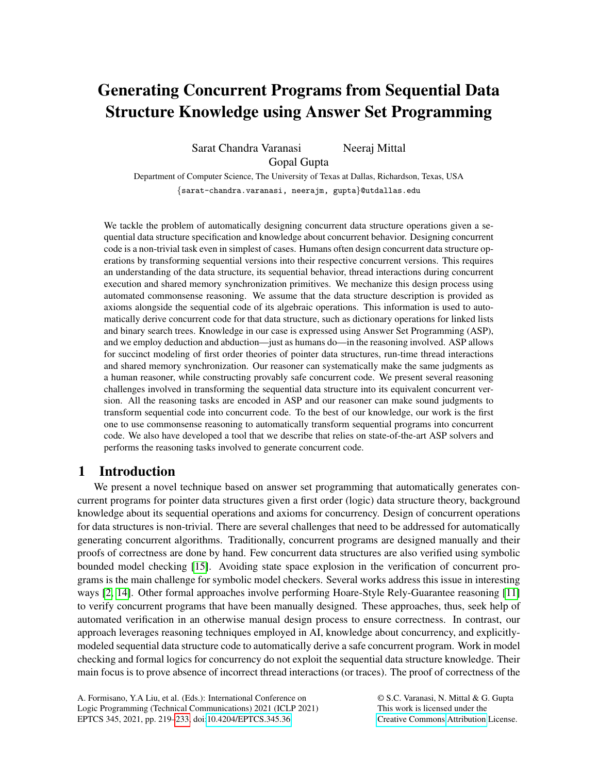# Generating Concurrent Programs from Sequential Data Structure Knowledge using Answer Set Programming

Sarat Chandra Varanasi Neeraj Mittal Gopal Gupta

Department of Computer Science, The University of Texas at Dallas, Richardson, Texas, USA {sarat-chandra.varanasi, neerajm, gupta}@utdallas.edu

We tackle the problem of automatically designing concurrent data structure operations given a sequential data structure specification and knowledge about concurrent behavior. Designing concurrent code is a non-trivial task even in simplest of cases. Humans often design concurrent data structure operations by transforming sequential versions into their respective concurrent versions. This requires an understanding of the data structure, its sequential behavior, thread interactions during concurrent execution and shared memory synchronization primitives. We mechanize this design process using automated commonsense reasoning. We assume that the data structure description is provided as axioms alongside the sequential code of its algebraic operations. This information is used to automatically derive concurrent code for that data structure, such as dictionary operations for linked lists and binary search trees. Knowledge in our case is expressed using Answer Set Programming (ASP), and we employ deduction and abduction—just as humans do—in the reasoning involved. ASP allows for succinct modeling of first order theories of pointer data structures, run-time thread interactions and shared memory synchronization. Our reasoner can systematically make the same judgments as a human reasoner, while constructing provably safe concurrent code. We present several reasoning challenges involved in transforming the sequential data structure into its equivalent concurrent version. All the reasoning tasks are encoded in ASP and our reasoner can make sound judgments to transform sequential code into concurrent code. To the best of our knowledge, our work is the first one to use commonsense reasoning to automatically transform sequential programs into concurrent code. We also have developed a tool that we describe that relies on state-of-the-art ASP solvers and performs the reasoning tasks involved to generate concurrent code.

# 1 Introduction

We present a novel technique based on answer set programming that automatically generates concurrent programs for pointer data structures given a first order (logic) data structure theory, background knowledge about its sequential operations and axioms for concurrency. Design of concurrent operations for data structures is non-trivial. There are several challenges that need to be addressed for automatically generating concurrent algorithms. Traditionally, concurrent programs are designed manually and their proofs of correctness are done by hand. Few concurrent data structures are also verified using symbolic bounded model checking [\[15\]](#page-14-1). Avoiding state space explosion in the verification of concurrent programs is the main challenge for symbolic model checkers. Several works address this issue in interesting ways [\[2,](#page-13-0) [14\]](#page-13-1). Other formal approaches involve performing Hoare-Style Rely-Guarantee reasoning [\[11\]](#page-13-2) to verify concurrent programs that have been manually designed. These approaches, thus, seek help of automated verification in an otherwise manual design process to ensure correctness. In contrast, our approach leverages reasoning techniques employed in AI, knowledge about concurrency, and explicitlymodeled sequential data structure code to automatically derive a safe concurrent program. Work in model checking and formal logics for concurrency do not exploit the sequential data structure knowledge. Their main focus is to prove absence of incorrect thread interactions (or traces). The proof of correctness of the

© S.C. Varanasi, N. Mittal & G. Gupta This work is licensed under the [Creative Commons](https://creativecommons.org) [Attribution](https://creativecommons.org/licenses/by/4.0/) License.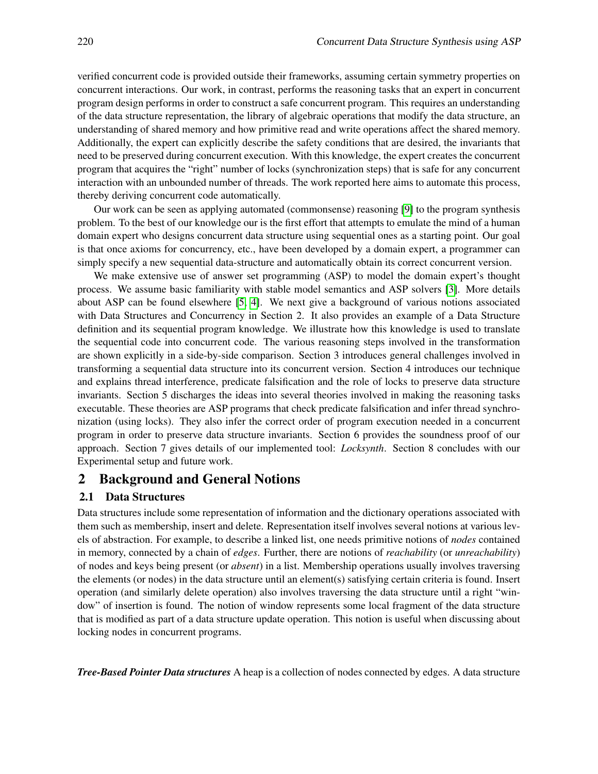verified concurrent code is provided outside their frameworks, assuming certain symmetry properties on concurrent interactions. Our work, in contrast, performs the reasoning tasks that an expert in concurrent program design performs in order to construct a safe concurrent program. This requires an understanding of the data structure representation, the library of algebraic operations that modify the data structure, an understanding of shared memory and how primitive read and write operations affect the shared memory. Additionally, the expert can explicitly describe the safety conditions that are desired, the invariants that need to be preserved during concurrent execution. With this knowledge, the expert creates the concurrent program that acquires the "right" number of locks (synchronization steps) that is safe for any concurrent interaction with an unbounded number of threads. The work reported here aims to automate this process, thereby deriving concurrent code automatically.

Our work can be seen as applying automated (commonsense) reasoning [\[9\]](#page-13-3) to the program synthesis problem. To the best of our knowledge our is the first effort that attempts to emulate the mind of a human domain expert who designs concurrent data structure using sequential ones as a starting point. Our goal is that once axioms for concurrency, etc., have been developed by a domain expert, a programmer can simply specify a new sequential data-structure and automatically obtain its correct concurrent version.

We make extensive use of answer set programming (ASP) to model the domain expert's thought process. We assume basic familiarity with stable model semantics and ASP solvers [\[3\]](#page-13-4). More details about ASP can be found elsewhere [\[5,](#page-13-5) [4\]](#page-13-6). We next give a background of various notions associated with Data Structures and Concurrency in Section 2. It also provides an example of a Data Structure definition and its sequential program knowledge. We illustrate how this knowledge is used to translate the sequential code into concurrent code. The various reasoning steps involved in the transformation are shown explicitly in a side-by-side comparison. Section 3 introduces general challenges involved in transforming a sequential data structure into its concurrent version. Section 4 introduces our technique and explains thread interference, predicate falsification and the role of locks to preserve data structure invariants. Section 5 discharges the ideas into several theories involved in making the reasoning tasks executable. These theories are ASP programs that check predicate falsification and infer thread synchronization (using locks). They also infer the correct order of program execution needed in a concurrent program in order to preserve data structure invariants. Section 6 provides the soundness proof of our approach. Section 7 gives details of our implemented tool: *Locksynth*. Section 8 concludes with our Experimental setup and future work.

## 2 Background and General Notions

#### 2.1 Data Structures

Data structures include some representation of information and the dictionary operations associated with them such as membership, insert and delete. Representation itself involves several notions at various levels of abstraction. For example, to describe a linked list, one needs primitive notions of *nodes* contained in memory, connected by a chain of *edges*. Further, there are notions of *reachability* (or *unreachability*) of nodes and keys being present (or *absent*) in a list. Membership operations usually involves traversing the elements (or nodes) in the data structure until an element(s) satisfying certain criteria is found. Insert operation (and similarly delete operation) also involves traversing the data structure until a right "window" of insertion is found. The notion of window represents some local fragment of the data structure that is modified as part of a data structure update operation. This notion is useful when discussing about locking nodes in concurrent programs.

*Tree-Based Pointer Data structures* A heap is a collection of nodes connected by edges. A data structure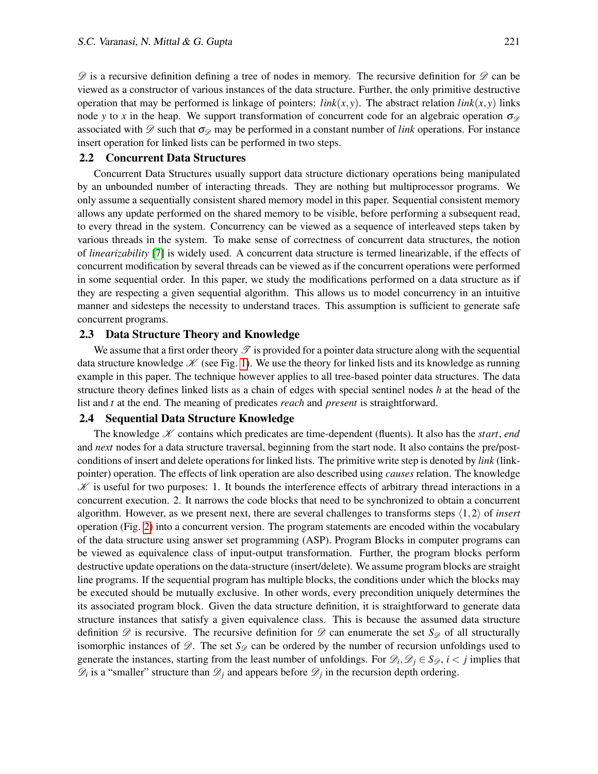$\mathscr D$  is a recursive definition defining a tree of nodes in memory. The recursive definition for  $\mathscr D$  can be viewed as a constructor of various instances of the data structure. Further, the only primitive destructive operation that may be performed is linkage of pointers:  $link(x, y)$ . The abstract relation  $link(x, y)$  links node *y* to *x* in the heap. We support transformation of concurrent code for an algebraic operation  $\sigma_{\varphi}$ associated with  $\mathscr D$  such that  $\sigma_{\mathscr D}$  may be performed in a constant number of *link* operations. For instance insert operation for linked lists can be performed in two steps.

#### 2.2 Concurrent Data Structures

Concurrent Data Structures usually support data structure dictionary operations being manipulated by an unbounded number of interacting threads. They are nothing but multiprocessor programs. We only assume a sequentially consistent shared memory model in this paper. Sequential consistent memory allows any update performed on the shared memory to be visible, before performing a subsequent read, to every thread in the system. Concurrency can be viewed as a sequence of interleaved steps taken by various threads in the system. To make sense of correctness of concurrent data structures, the notion of *linearizability* [\[7\]](#page-13-7) is widely used. A concurrent data structure is termed linearizable, if the effects of concurrent modification by several threads can be viewed as if the concurrent operations were performed in some sequential order. In this paper, we study the modifications performed on a data structure as if they are respecting a given sequential algorithm. This allows us to model concurrency in an intuitive manner and sidesteps the necessity to understand traces. This assumption is sufficient to generate safe concurrent programs.

#### 2.3 Data Structure Theory and Knowledge

We assume that a first order theory  $\mathcal T$  is provided for a pointer data structure along with the sequential data structure knowledge  $\mathcal K$  (see Fig. [1\)](#page-3-0). We use the theory for linked lists and its knowledge as running example in this paper. The technique however applies to all tree-based pointer data structures. The data structure theory defines linked lists as a chain of edges with special sentinel nodes *h* at the head of the list and *t* at the end. The meaning of predicates *reach* and *present* is straightforward.

## 2.4 Sequential Data Structure Knowledge

The knowledge  $K$  contains which predicates are time-dependent (fluents). It also has the *start*, *end* and *next* nodes for a data structure traversal, beginning from the start node. It also contains the pre/postconditions of insert and delete operations for linked lists. The primitive write step is denoted by *link* (linkpointer) operation. The effects of link operation are also described using *causes* relation. The knowledge  $\mathscr K$  is useful for two purposes: 1. It bounds the interference effects of arbitrary thread interactions in a concurrent execution. 2. It narrows the code blocks that need to be synchronized to obtain a concurrent algorithm. However, as we present next, there are several challenges to transforms steps  $\langle 1,2 \rangle$  of *insert* operation (Fig. [2\)](#page-4-0) into a concurrent version. The program statements are encoded within the vocabulary of the data structure using answer set programming (ASP). Program Blocks in computer programs can be viewed as equivalence class of input-output transformation. Further, the program blocks perform destructive update operations on the data-structure (insert/delete). We assume program blocks are straight line programs. If the sequential program has multiple blocks, the conditions under which the blocks may be executed should be mutually exclusive. In other words, every precondition uniquely determines the its associated program block. Given the data structure definition, it is straightforward to generate data structure instances that satisfy a given equivalence class. This is because the assumed data structure definition  $\mathscr D$  is recursive. The recursive definition for  $\mathscr D$  can enumerate the set  $S_{\mathscr D}$  of all structurally isomorphic instances of  $\mathscr{D}$ . The set  $S_{\mathscr{D}}$  can be ordered by the number of recursion unfoldings used to generate the instances, starting from the least number of unfoldings. For  $\mathcal{D}_i, \mathcal{D}_j \in S_{\mathcal{D}}, i < j$  implies that  $\mathscr{D}_i$  is a "smaller" structure than  $\mathscr{D}_j$  and appears before  $\mathscr{D}_j$  in the recursion depth ordering.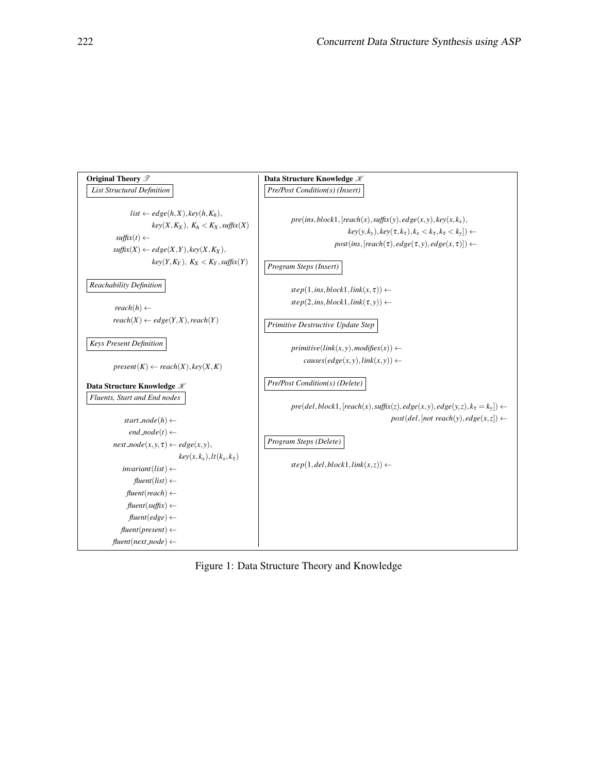<span id="page-3-0"></span>

Figure 1: Data Structure Theory and Knowledge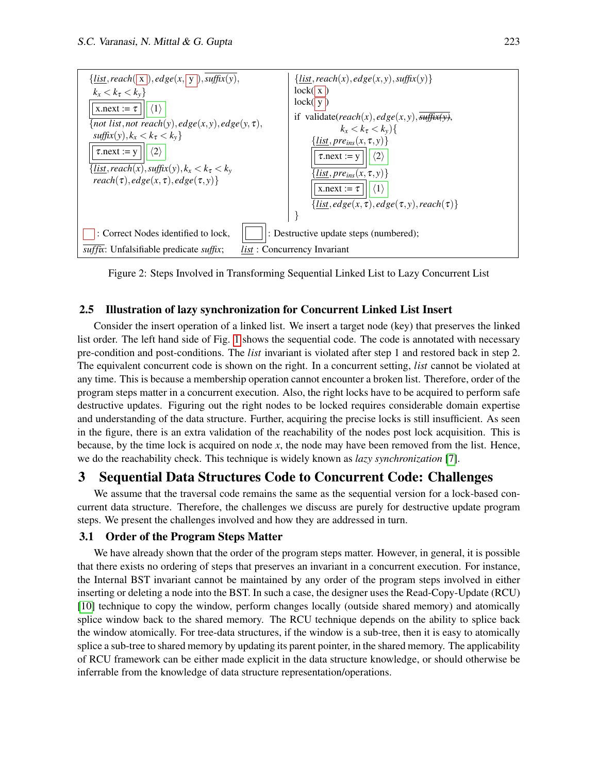<span id="page-4-0"></span>

Figure 2: Steps Involved in Transforming Sequential Linked List to Lazy Concurrent List

# 2.5 Illustration of lazy synchronization for Concurrent Linked List Insert

Consider the insert operation of a linked list. We insert a target node (key) that preserves the linked list order. The left hand side of Fig. [1](#page-3-0) shows the sequential code. The code is annotated with necessary pre-condition and post-conditions. The *list* invariant is violated after step 1 and restored back in step 2. The equivalent concurrent code is shown on the right. In a concurrent setting, *list* cannot be violated at any time. This is because a membership operation cannot encounter a broken list. Therefore, order of the program steps matter in a concurrent execution. Also, the right locks have to be acquired to perform safe destructive updates. Figuring out the right nodes to be locked requires considerable domain expertise and understanding of the data structure. Further, acquiring the precise locks is still insufficient. As seen in the figure, there is an extra validation of the reachability of the nodes post lock acquisition. This is because, by the time lock is acquired on node *x*, the node may have been removed from the list. Hence, we do the reachability check. This technique is widely known as *lazy synchronization* [\[7\]](#page-13-7).

# 3 Sequential Data Structures Code to Concurrent Code: Challenges

We assume that the traversal code remains the same as the sequential version for a lock-based concurrent data structure. Therefore, the challenges we discuss are purely for destructive update program steps. We present the challenges involved and how they are addressed in turn.

## 3.1 Order of the Program Steps Matter

We have already shown that the order of the program steps matter. However, in general, it is possible that there exists no ordering of steps that preserves an invariant in a concurrent execution. For instance, the Internal BST invariant cannot be maintained by any order of the program steps involved in either inserting or deleting a node into the BST. In such a case, the designer uses the Read-Copy-Update (RCU) [\[10\]](#page-13-8) technique to copy the window, perform changes locally (outside shared memory) and atomically splice window back to the shared memory. The RCU technique depends on the ability to splice back the window atomically. For tree-data structures, if the window is a sub-tree, then it is easy to atomically splice a sub-tree to shared memory by updating its parent pointer, in the shared memory. The applicability of RCU framework can be either made explicit in the data structure knowledge, or should otherwise be inferrable from the knowledge of data structure representation/operations.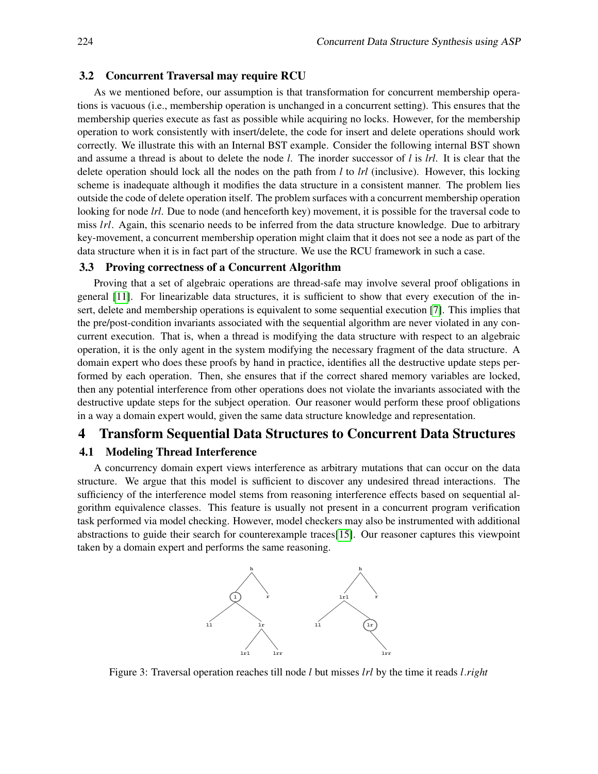#### 3.2 Concurrent Traversal may require RCU

As we mentioned before, our assumption is that transformation for concurrent membership operations is vacuous (i.e., membership operation is unchanged in a concurrent setting). This ensures that the membership queries execute as fast as possible while acquiring no locks. However, for the membership operation to work consistently with insert/delete, the code for insert and delete operations should work correctly. We illustrate this with an Internal BST example. Consider the following internal BST shown and assume a thread is about to delete the node *l*. The inorder successor of *l* is *lrl*. It is clear that the delete operation should lock all the nodes on the path from *l* to *lrl* (inclusive). However, this locking scheme is inadequate although it modifies the data structure in a consistent manner. The problem lies outside the code of delete operation itself. The problem surfaces with a concurrent membership operation looking for node *lrl*. Due to node (and henceforth key) movement, it is possible for the traversal code to miss *lrl*. Again, this scenario needs to be inferred from the data structure knowledge. Due to arbitrary key-movement, a concurrent membership operation might claim that it does not see a node as part of the data structure when it is in fact part of the structure. We use the RCU framework in such a case.

#### 3.3 Proving correctness of a Concurrent Algorithm

Proving that a set of algebraic operations are thread-safe may involve several proof obligations in general [\[11\]](#page-13-2). For linearizable data structures, it is sufficient to show that every execution of the insert, delete and membership operations is equivalent to some sequential execution [\[7\]](#page-13-7). This implies that the pre/post-condition invariants associated with the sequential algorithm are never violated in any concurrent execution. That is, when a thread is modifying the data structure with respect to an algebraic operation, it is the only agent in the system modifying the necessary fragment of the data structure. A domain expert who does these proofs by hand in practice, identifies all the destructive update steps performed by each operation. Then, she ensures that if the correct shared memory variables are locked, then any potential interference from other operations does not violate the invariants associated with the destructive update steps for the subject operation. Our reasoner would perform these proof obligations in a way a domain expert would, given the same data structure knowledge and representation.

# 4 Transform Sequential Data Structures to Concurrent Data Structures

## 4.1 Modeling Thread Interference

A concurrency domain expert views interference as arbitrary mutations that can occur on the data structure. We argue that this model is sufficient to discover any undesired thread interactions. The sufficiency of the interference model stems from reasoning interference effects based on sequential algorithm equivalence classes. This feature is usually not present in a concurrent program verification task performed via model checking. However, model checkers may also be instrumented with additional abstractions to guide their search for counterexample traces[\[15\]](#page-14-1). Our reasoner captures this viewpoint taken by a domain expert and performs the same reasoning.



Figure 3: Traversal operation reaches till node *l* but misses *lrl* by the time it reads *l*.*right*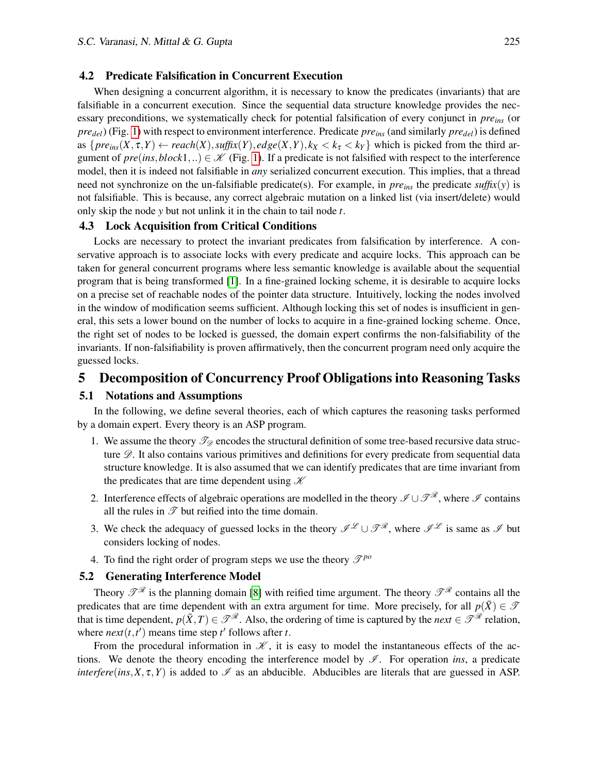#### 4.2 Predicate Falsification in Concurrent Execution

When designing a concurrent algorithm, it is necessary to know the predicates (invariants) that are falsifiable in a concurrent execution. Since the sequential data structure knowledge provides the necessary preconditions, we systematically check for potential falsification of every conjunct in *preins* (or *predel*) (Fig. [1\)](#page-3-0) with respect to environment interference. Predicate *preins* (and similarly *predel*) is defined as  $\{pre_{ins}(X, \tau, Y) \leftarrow reach(X), suffix(Y), edge(X, Y), k_X < k_\tau < k_Y\}$  which is picked from the third argument of  $pre(is,block1,..) \in \mathcal{K}$  (Fig. [1\)](#page-3-0). If a predicate is not falsified with respect to the interference model, then it is indeed not falsifiable in *any* serialized concurrent execution. This implies, that a thread need not synchronize on the un-falsifiable predicate(s). For example, in *pre*<sub>*ins*</sub> the predicate *suffix*( $y$ ) is not falsifiable. This is because, any correct algebraic mutation on a linked list (via insert/delete) would only skip the node *y* but not unlink it in the chain to tail node *t*.

#### 4.3 Lock Acquisition from Critical Conditions

Locks are necessary to protect the invariant predicates from falsification by interference. A conservative approach is to associate locks with every predicate and acquire locks. This approach can be taken for general concurrent programs where less semantic knowledge is available about the sequential program that is being transformed [\[1\]](#page-13-9). In a fine-grained locking scheme, it is desirable to acquire locks on a precise set of reachable nodes of the pointer data structure. Intuitively, locking the nodes involved in the window of modification seems sufficient. Although locking this set of nodes is insufficient in general, this sets a lower bound on the number of locks to acquire in a fine-grained locking scheme. Once, the right set of nodes to be locked is guessed, the domain expert confirms the non-falsifiability of the invariants. If non-falsifiability is proven affirmatively, then the concurrent program need only acquire the guessed locks.

# 5 Decomposition of Concurrency Proof Obligations into Reasoning Tasks

#### 5.1 Notations and Assumptions

In the following, we define several theories, each of which captures the reasoning tasks performed by a domain expert. Every theory is an ASP program.

- 1. We assume the theory  $\mathcal{I}_\mathscr{D}$  encodes the structural definition of some tree-based recursive data structure  $\mathscr{D}$ . It also contains various primitives and definitions for every predicate from sequential data structure knowledge. It is also assumed that we can identify predicates that are time invariant from the predicates that are time dependent using  $K$
- 2. Interference effects of algebraic operations are modelled in the theory  $\mathscr{I} \cup \mathscr{T}^{\mathscr{R}}$ , where  $\mathscr{I}$  contains all the rules in  $\mathscr T$  but reified into the time domain.
- 3. We check the adequacy of guessed locks in the theory  $\mathscr{I}^{\mathscr{L}} \cup \mathscr{T}^{\mathscr{R}}$ , where  $\mathscr{I}^{\mathscr{L}}$  is same as  $\mathscr{I}$  but considers locking of nodes.
- 4. To find the right order of program steps we use the theory  $\mathcal{T}^{po}$

# 5.2 Generating Interference Model

Theory  $\mathscr{T}^{\mathscr{R}}$  is the planning domain [\[8\]](#page-13-10) with reified time argument. The theory  $\mathscr{T}^{\mathscr{R}}$  contains all the predicates that are time dependent with an extra argument for time. More precisely, for all  $p(\bar{X}) \in \mathcal{T}$ that is time dependent,  $p(\bar{X},T) \in \mathcal{T}^{\mathcal{R}}$ . Also, the ordering of time is captured by the *next*  $\in \mathcal{T}^{\mathcal{R}}$  relation, where  $next(t, t')$  means time step  $t'$  follows after  $t$ .

From the procedural information in  $\mathcal{K}$ , it is easy to model the instantaneous effects of the actions. We denote the theory encoding the interference model by  $\mathscr I$ . For operation *ins*, a predicate *interfere*(*ins*,*X*,  $\tau$ , *Y*) is added to  $\mathcal{I}$  as an abducible. Abducibles are literals that are guessed in ASP.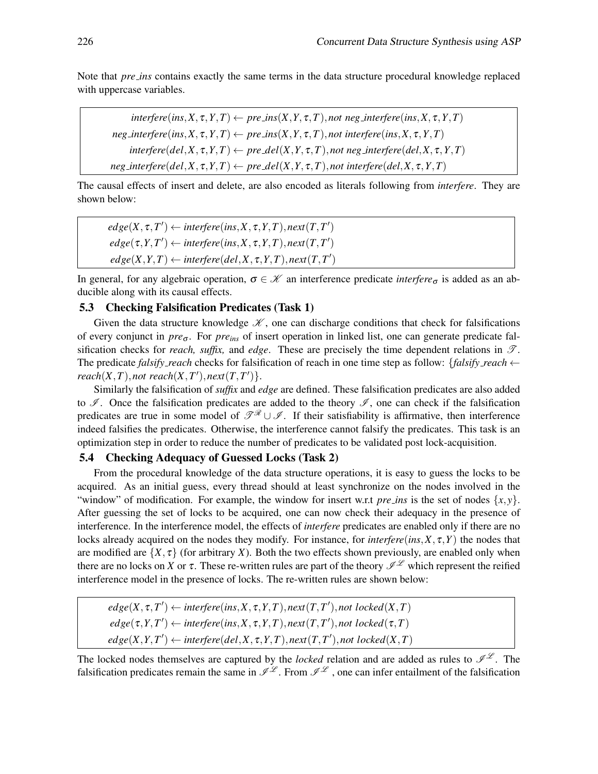Note that *pre ins* contains exactly the same terms in the data structure procedural knowledge replaced with uppercase variables.

 $interfere$ ( $ins, X, \tau, Y, T$ )  $\leftarrow pre_{\text{f}}/X, Y, \tau, T$ ), *not neg\_interfere*( $ins, X, \tau, Y, T$ )  $neg\$  *interfere*(*ins*,*X*,  $\tau$ , *Y*, *T*)  $\leftarrow$   $pre\text{.ins}(X, Y, \tau, T)$ , *not interfere*(*ins*, *X*,  $\tau$ , *Y*, *T*)  $interfere(det, X, \tau, Y, T) \leftarrow pre\_del(X, Y, \tau, T),$ *not neg\_interfere*(*del,X,*  $\tau, Y, T)$  $neg$ *interfere*(*del*,*X*,  $\tau$ ,*Y*,*T*)  $\leftarrow$  *pre del*(*X*,*Y*,  $\tau$ ,*T*), *not interfere*(*del*,*X*,  $\tau$ , *Y*, *T*)

The causal effects of insert and delete, are also encoded as literals following from *interfere*. They are shown below:

 $\text{edge}(X, \tau, T') \leftarrow \text{interface}(ins, X, \tau, Y, T), \text{next}(T, T')$  $\text{edge}(\tau, Y, T') \leftarrow \text{interface}(\text{ins}, X, \tau, Y, T), \text{next}(T, T')$  $\text{edge}(X, Y, T) \leftarrow \text{interface}(del, X, \tau, Y, T), \text{next}(T, T')$ 

In general, for any algebraic operation,  $\sigma \in \mathcal{K}$  an interference predicate *interfere*<sub> $\sigma$ </sub> is added as an abducible along with its causal effects.

#### 5.3 Checking Falsification Predicates (Task 1)

Given the data structure knowledge  $\mathcal{K}$ , one can discharge conditions that check for falsifications of every conjunct in *pre*<sup>σ</sup> . For *preins* of insert operation in linked list, one can generate predicate falsification checks for *reach, suffix,* and *edge*. These are precisely the time dependent relations in  $\mathcal{T}$ . The predicate *falsify reach* checks for falsification of reach in one time step as follow: {*falsify reach* ←  $reach(X, T), not reach(X, T'), next(T, T')\}.$ 

Similarly the falsification of *suffix* and *edge* are defined. These falsification predicates are also added to  $\mathscr I$ . Once the falsification predicates are added to the theory  $\mathscr I$ , one can check if the falsification predicates are true in some model of  $\mathscr{T}^{\mathscr{R}}\cup\mathscr{I}$ . If their satisfiability is affirmative, then interference indeed falsifies the predicates. Otherwise, the interference cannot falsify the predicates. This task is an optimization step in order to reduce the number of predicates to be validated post lock-acquisition.

#### 5.4 Checking Adequacy of Guessed Locks (Task 2)

From the procedural knowledge of the data structure operations, it is easy to guess the locks to be acquired. As an initial guess, every thread should at least synchronize on the nodes involved in the "window" of modification. For example, the window for insert w.r.t *pre ins* is the set of nodes  $\{x, y\}$ . After guessing the set of locks to be acquired, one can now check their adequacy in the presence of interference. In the interference model, the effects of *interfere* predicates are enabled only if there are no locks already acquired on the nodes they modify. For instance, for *interfere*(*ins*, $X, \tau, Y$ ) the nodes that are modified are  $\{X, \tau\}$  (for arbitrary *X*). Both the two effects shown previously, are enabled only when there are no locks on *X* or  $\tau$ . These re-written rules are part of the theory  $\mathscr{I}^{\mathscr{L}}$  which represent the reified interference model in the presence of locks. The re-written rules are shown below:

 $edge(X, \tau, T') \leftarrow$  *interfere*(*ins*,*X*,  $\tau$ ,*Y*, *T*), *next*(*T*, *T'*), *not locked*(*X*, *T*)  $edge(\tau, Y, T') \leftarrow$  *interfere*(*ins*,*X*,  $\tau$ ,*Y*, *T*), *next*(*T*, *T'*), *not* locked( $\tau$ , *T*)  $edge(X, Y, T') \leftarrow$  *interfere*(*del,X,*  $\tau$ *,Y,T*)*, next*(*T,T'*)*, not locked*(*X,T*)

The locked nodes themselves are captured by the *locked* relation and are added as rules to  $\mathscr{I}^{\mathscr{L}}$ . The falsification predicates remain the same in  $\mathscr{I}^{\mathscr{L}}$ . From  $\mathscr{I}^{\mathscr{L}}$ , one can infer entailment of the falsification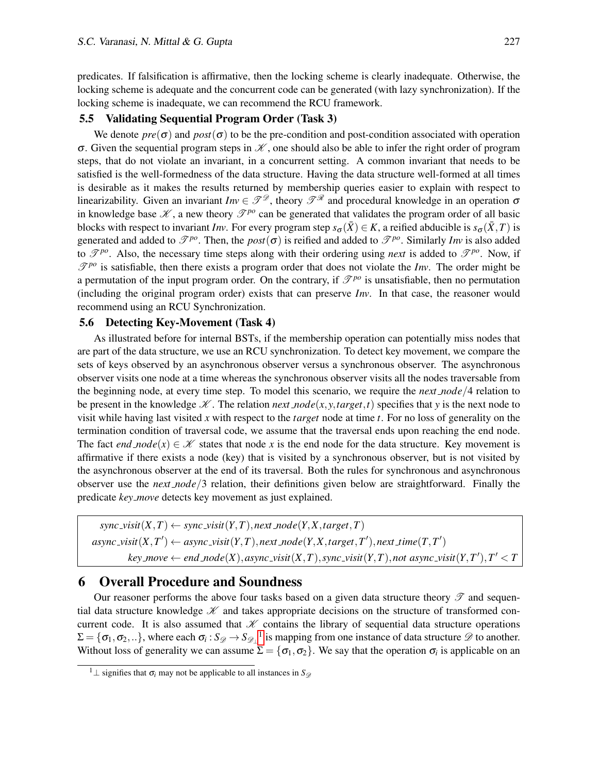predicates. If falsification is affirmative, then the locking scheme is clearly inadequate. Otherwise, the locking scheme is adequate and the concurrent code can be generated (with lazy synchronization). If the locking scheme is inadequate, we can recommend the RCU framework.

#### 5.5 Validating Sequential Program Order (Task 3)

We denote  $pre(\sigma)$  and  $post(\sigma)$  to be the pre-condition and post-condition associated with operation σ. Given the sequential program steps in  $\mathcal X$ , one should also be able to infer the right order of program steps, that do not violate an invariant, in a concurrent setting. A common invariant that needs to be satisfied is the well-formedness of the data structure. Having the data structure well-formed at all times is desirable as it makes the results returned by membership queries easier to explain with respect to linearizability. Given an invariant  $Inv \in \mathcal{TP}$ , theory  $\mathcal{TP}$  and procedural knowledge in an operation  $\sigma$ in knowledge base  $\mathcal{K}$ , a new theory  $\mathcal{P}^{po}$  can be generated that validates the program order of all basic blocks with respect to invariant *Inv*. For every program step  $s_{\sigma}(\bar{X}) \in K$ , a reified abducible is  $s_{\sigma}(\bar{X}, T)$  is generated and added to  $\mathcal{P}^{po}$ . Then, the *post*( $\sigma$ ) is reified and added to  $\mathcal{P}^{po}$ . Similarly *Inv* is also added to  $\mathcal{T}^{po}$ . Also, the necessary time steps along with their ordering using *next* is added to  $\mathcal{T}^{po}$ . Now, if  $\mathcal{F}^{po}$  is satisfiable, then there exists a program order that does not violate the *Inv*. The order might be a permutation of the input program order. On the contrary, if  $\mathcal{F}^{po}$  is unsatisfiable, then no permutation (including the original program order) exists that can preserve *Inv*. In that case, the reasoner would recommend using an RCU Synchronization.

#### 5.6 Detecting Key-Movement (Task 4)

As illustrated before for internal BSTs, if the membership operation can potentially miss nodes that are part of the data structure, we use an RCU synchronization. To detect key movement, we compare the sets of keys observed by an asynchronous observer versus a synchronous observer. The asynchronous observer visits one node at a time whereas the synchronous observer visits all the nodes traversable from the beginning node, at every time step. To model this scenario, we require the *next node*/4 relation to be present in the knowledge  $\mathcal{K}$ . The relation *next node*(*x*, *y*, *target*, *t*) specifies that *y* is the next node to visit while having last visited *x* with respect to the *target* node at time *t*. For no loss of generality on the termination condition of traversal code, we assume that the traversal ends upon reaching the end node. The fact *end*  $node(x) \in \mathcal{K}$  states that node x is the end node for the data structure. Key movement is affirmative if there exists a node (key) that is visited by a synchronous observer, but is not visited by the asynchronous observer at the end of its traversal. Both the rules for synchronous and asynchronous observer use the *next node*/3 relation, their definitions given below are straightforward. Finally the predicate *key move* detects key movement as just explained.

 $sync\_visit(X, T) \leftarrow sync\_visit(Y, T), next\_node(Y, X, target, T)$  $a$ sync\_visit $(X, T') \leftarrow a$ sync\_visit $(Y, T)$ , next\_node $(Y, X, target, T')$ , next\_time $(T, T')$  $key\_move \leftarrow end\_node(X), async\_visit(X,T), sync\_visit(Y,T), not~async\_visit(Y,T'), T' < T$ 

# 6 Overall Procedure and Soundness

Our reasoner performs the above four tasks based on a given data structure theory  $\mathscr T$  and sequential data structure knowledge  $\mathscr K$  and takes appropriate decisions on the structure of transformed concurrent code. It is also assumed that  $K$  contains the library of sequential data structure operations  $\Sigma = \{\sigma_1, \sigma_2, ...\}$  $\Sigma = \{\sigma_1, \sigma_2, ...\}$  $\Sigma = \{\sigma_1, \sigma_2, ...\}$ , where each  $\sigma_i : S_{\mathscr{D}} \to S_{\mathscr{D}_\perp}^{-1}$  is mapping from one instance of data structure  $\mathscr{D}$  to another. Without loss of generality we can assume  $\Sigma = \{\sigma_1, \sigma_2\}$ . We say that the operation  $\sigma_i$  is applicable on an

<span id="page-8-0"></span><sup>&</sup>lt;sup>1</sup>⊥ signifies that  $\sigma$ <sub>*i*</sub> may not be applicable to all instances in  $S$ <sub> $\mathscr{D}$ </sub>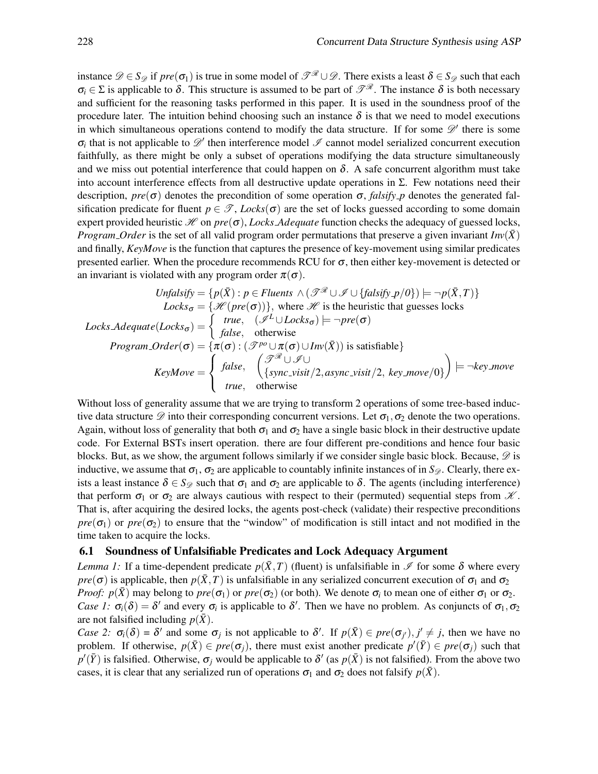instance  $\mathscr{D} \in S_{\mathscr{D}}$  if  $pre(\sigma_1)$  is true in some model of  $\mathscr{T}^{\mathscr{R}} \cup \mathscr{D}$ . There exists a least  $\delta \in S_{\mathscr{D}}$  such that each  $\sigma_i \in \Sigma$  is applicable to  $\delta$ . This structure is assumed to be part of  $\mathscr{P}^{\mathscr{R}}$ . The instance  $\delta$  is both necessary and sufficient for the reasoning tasks performed in this paper. It is used in the soundness proof of the procedure later. The intuition behind choosing such an instance  $\delta$  is that we need to model executions in which simultaneous operations contend to modify the data structure. If for some  $\mathscr{D}'$  there is some  $\sigma_i$  that is not applicable to  $\mathscr{D}'$  then interference model  $\mathscr I$  cannot model serialized concurrent execution faithfully, as there might be only a subset of operations modifying the data structure simultaneously and we miss out potential interference that could happen on  $\delta$ . A safe concurrent algorithm must take into account interference effects from all destructive update operations in Σ. Few notations need their description,  $pre(\sigma)$  denotes the precondition of some operation  $\sigma$ , *falsify p* denotes the generated falsification predicate for fluent  $p \in \mathcal{T}$ , *Locks*( $\sigma$ ) are the set of locks guessed according to some domain expert provided heuristic  $\mathcal{H}$  on  $pre(\sigma)$ , *Locks Adequate* function checks the adequacy of guessed locks, *Program Order* is the set of all valid program order permutations that preserve a given invariant  $Inv(\bar{X})$ and finally, *KeyMove* is the function that captures the presence of key-movement using similar predicates presented earlier. When the procedure recommends RCU for  $\sigma$ , then either key-movement is detected or an invariant is violated with any program order  $\pi(\sigma)$ .

$$
Unfalsify = \{p(\bar{X}) : p \in Fluents \land (\mathcal{T}^{\mathcal{R}} \cup \mathcal{I} \cup \{falsify\_p/O\}) \models \neg p(\bar{X}, T)\}
$$
  
\n
$$
Locks_{\sigma} = \{\mathcal{H}(pre(\sigma))\}, \text{ where } \mathcal{H} \text{ is the heuristic that guesses locks}
$$
  
\n
$$
Locks\_Adequate(Locks_{\sigma}) = \begin{cases} true, & (\mathcal{I}^L \cup Locks_{\sigma}) \models \neg pre(\sigma) \\ false, & \text{otherwise} \end{cases}
$$
  
\n
$$
Program\_Order(\sigma) = \{\pi(\sigma) : (\mathcal{T}^{po} \cup \pi(\sigma) \cup Inv(\bar{X})) \text{ is satisfiable}\}
$$
  
\n
$$
KeyMove = \begin{cases} false, & (\mathcal{T}^{\mathcal{R}} \cup \mathcal{I} \cup \{S\}) \\ false, & \text{otherwise} \end{cases}
$$
  
\n
$$
true, \text{ otherwise}
$$

Without loss of generality assume that we are trying to transform 2 operations of some tree-based inductive data structure  $\mathscr D$  into their corresponding concurrent versions. Let  $\sigma_1, \sigma_2$  denote the two operations. Again, without loss of generality that both  $\sigma_1$  and  $\sigma_2$  have a single basic block in their destructive update code. For External BSTs insert operation. there are four different pre-conditions and hence four basic blocks. But, as we show, the argument follows similarly if we consider single basic block. Because,  $\mathscr{D}$  is inductive, we assume that  $\sigma_1$ ,  $\sigma_2$  are applicable to countably infinite instances of in  $S_{\mathscr{D}}$ . Clearly, there exists a least instance  $\delta \in S_{\mathscr{D}}$  such that  $\sigma_1$  and  $\sigma_2$  are applicable to  $\delta$ . The agents (including interference) that perform  $\sigma_1$  or  $\sigma_2$  are always cautious with respect to their (permuted) sequential steps from  $\mathcal X$ . That is, after acquiring the desired locks, the agents post-check (validate) their respective preconditions *pre*( $\sigma_1$ ) or *pre*( $\sigma_2$ ) to ensure that the "window" of modification is still intact and not modified in the time taken to acquire the locks.

#### 6.1 Soundness of Unfalsifiable Predicates and Lock Adequacy Argument

*Lemma 1:* If a time-dependent predicate  $p(\bar{X},T)$  (fluent) is unfalsifiable in  $\mathscr I$  for some  $\delta$  where every *pre*( $\sigma$ ) is applicable, then  $p(\bar{X}, T)$  is unfalsifiable in any serialized concurrent execution of  $\sigma_1$  and  $\sigma_2$ *Proof:*  $p(\bar{X})$  may belong to  $pre(\sigma_1)$  or  $pre(\sigma_2)$  (or both). We denote  $\sigma_i$  to mean one of either  $\sigma_1$  or  $\sigma_2$ . *Case 1:*  $\sigma_i(\delta) = \delta'$  and every  $\sigma_i$  is applicable to  $\delta'$ . Then we have no problem. As conjuncts of  $\sigma_1, \sigma_2$ are not falsified including  $p(\bar{X})$ .

*Case 2:*  $\sigma_i(\delta) = \delta'$  and some  $\sigma_j$  is not applicable to  $\delta'$ . If  $p(\bar{X}) \in pre(\sigma_{j'})$ ,  $j' \neq j$ , then we have no problem. If otherwise,  $p(\bar{X}) \in pre(\sigma_j)$ , there must exist another predicate  $p'(\bar{Y}) \in pre(\sigma_j)$  such that  $p'(\bar{Y})$  is falsified. Otherwise,  $\sigma_j$  would be applicable to  $\delta'$  (as  $p(\bar{X})$  is not falsified). From the above two cases, it is clear that any serialized run of operations  $\sigma_1$  and  $\sigma_2$  does not falsify  $p(\bar{X})$ .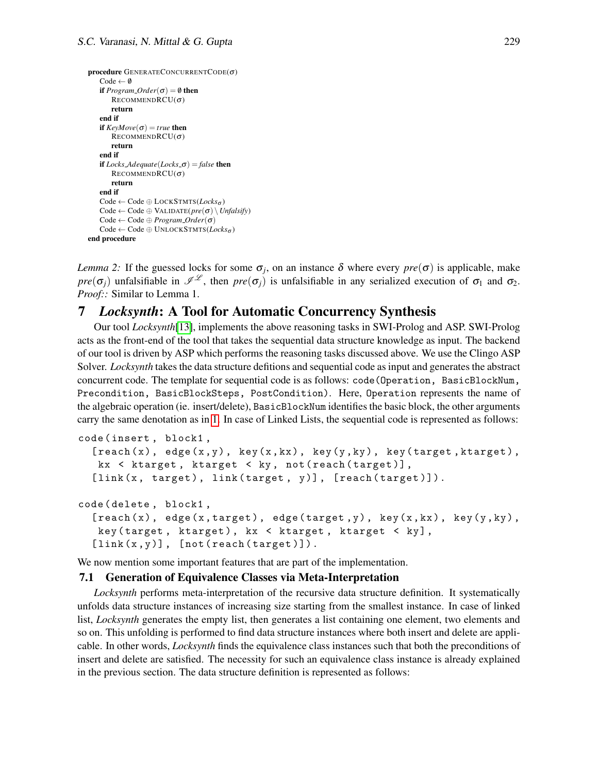```
procedure GENERATECONCURRENTCODE(\sigma)
   Code \leftarrow \emptysetif Program\_Order(\sigma) = \emptyset then
      RECOMMENDRCU(\sigma)return
   end if
   if KevMove(\sigma) = true then
      RECOMMENDRCU(\sigma)return
   end if
   if LocksAdequate(Lockso) = false then
      RECOMMENDRCU(\sigma)return
   end if
   Code ← Code ⊕ LOCKSTMTS(Locksσ )
   Code ← Code ⊕ VALIDATE(pre(σ) \Unfalsify)
   Code ← Code ⊕ Program Order(σ)
   Code ← Code ⊕ UNLOCKSTMTS(Locksσ )
end procedure
```
*Lemma 2:* If the guessed locks for some  $\sigma_j$ , on an instance  $\delta$  where every  $pre(\sigma)$  is applicable, make *pre*( $\sigma$ <sub>*j*</sub>) unfalsifiable in  $\mathscr{I}^{\mathscr{L}}$ , then *pre*( $\sigma$ <sub>*j*</sub>) is unfalsifiable in any serialized execution of  $\sigma$ <sub>1</sub> and  $\sigma$ <sub>2</sub>. *Proof::* Similar to Lemma 1.

# 7 *Locksynth*: A Tool for Automatic Concurrency Synthesis

Our tool *Locksynth*[\[13\]](#page-13-11), implements the above reasoning tasks in SWI-Prolog and ASP. SWI-Prolog acts as the front-end of the tool that takes the sequential data structure knowledge as input. The backend of our tool is driven by ASP which performs the reasoning tasks discussed above. We use the Clingo ASP Solver. *Locksynth* takes the data structure defitions and sequential code as input and generates the abstract concurrent code. The template for sequential code is as follows: code(Operation, BasicBlockNum, Precondition, BasicBlockSteps, PostCondition). Here, Operation represents the name of the algebraic operation (ie. insert/delete), BasicBlockNum identifies the basic block, the other arguments carry the same denotation as in [1.](#page-3-0) In case of Linked Lists, the sequential code is represented as follows:

```
code ( insert , block1 ,
  [reach(x), edge(x, y), key(x, kx), key(y, ky), key(target, ktarget),kx < ktarget, ktarget < ky, not (reach (target)],
  [link(x, target), link(target, y)], [reach(target)]).code ( delete , block1 ,
```

```
[reach(x), edge(x, target), edge(target,y), key(x, kx), key(y, ky),key (target, ktarget), kx < ktarget, ktarget < ky],
[link(x, y)], [not(reach(target))].
```
We now mention some important features that are part of the implementation.

#### 7.1 Generation of Equivalence Classes via Meta-Interpretation

*Locksynth* performs meta-interpretation of the recursive data structure definition. It systematically unfolds data structure instances of increasing size starting from the smallest instance. In case of linked list, *Locksynth* generates the empty list, then generates a list containing one element, two elements and so on. This unfolding is performed to find data structure instances where both insert and delete are applicable. In other words, *Locksynth* finds the equivalence class instances such that both the preconditions of insert and delete are satisfied. The necessity for such an equivalence class instance is already explained in the previous section. The data structure definition is represented as follows: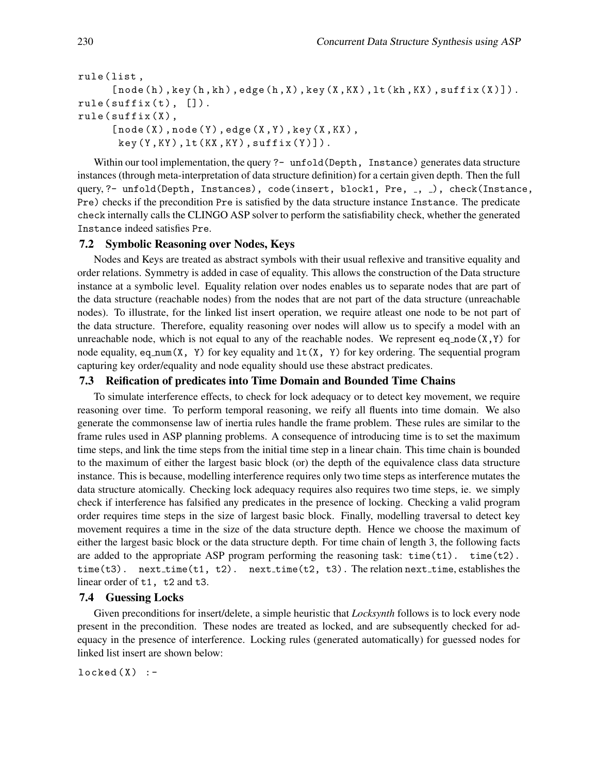```
rule ( list ,
     [node(h), key(h, kh), edge(h, X), key(X, KX), lt(kh, KX), suffix(X)]).rule(suffix(t), []).
rule(suffix(X)),[node(X),node(Y),edge(X,Y),key(X,KX)],key (Y, KY), lt (KX, KY), suffix (Y)).
```
Within our tool implementation, the query ?- unfold (Depth, Instance) generates data structure instances (through meta-interpretation of data structure definition) for a certain given depth. Then the full query, ?- unfold(Depth, Instances), code(insert, block1, Pre,  $\overline{a}$ ,  $\overline{a}$ ), check(Instance, Pre) checks if the precondition Pre is satisfied by the data structure instance Instance. The predicate check internally calls the CLINGO ASP solver to perform the satisfiability check, whether the generated Instance indeed satisfies Pre.

#### 7.2 Symbolic Reasoning over Nodes, Keys

Nodes and Keys are treated as abstract symbols with their usual reflexive and transitive equality and order relations. Symmetry is added in case of equality. This allows the construction of the Data structure instance at a symbolic level. Equality relation over nodes enables us to separate nodes that are part of the data structure (reachable nodes) from the nodes that are not part of the data structure (unreachable nodes). To illustrate, for the linked list insert operation, we require atleast one node to be not part of the data structure. Therefore, equality reasoning over nodes will allow us to specify a model with an unreachable node, which is not equal to any of the reachable nodes. We represent eq\_node $(X, Y)$  for node equality, eq\_num(X, Y) for key equality and  $lt(X, Y)$  for key ordering. The sequential program capturing key order/equality and node equality should use these abstract predicates.

#### 7.3 Reification of predicates into Time Domain and Bounded Time Chains

To simulate interference effects, to check for lock adequacy or to detect key movement, we require reasoning over time. To perform temporal reasoning, we reify all fluents into time domain. We also generate the commonsense law of inertia rules handle the frame problem. These rules are similar to the frame rules used in ASP planning problems. A consequence of introducing time is to set the maximum time steps, and link the time steps from the initial time step in a linear chain. This time chain is bounded to the maximum of either the largest basic block (or) the depth of the equivalence class data structure instance. This is because, modelling interference requires only two time steps as interference mutates the data structure atomically. Checking lock adequacy requires also requires two time steps, ie. we simply check if interference has falsified any predicates in the presence of locking. Checking a valid program order requires time steps in the size of largest basic block. Finally, modelling traversal to detect key movement requires a time in the size of the data structure depth. Hence we choose the maximum of either the largest basic block or the data structure depth. For time chain of length 3, the following facts are added to the appropriate ASP program performing the reasoning task:  $time(t1)$ .  $time(t2)$ . time(t3). next\_time(t1, t2). next\_time(t2, t3). The relation next\_time, establishes the linear order of t1, t2 and t3.

#### 7.4 Guessing Locks

Given preconditions for insert/delete, a simple heuristic that *Locksynth* follows is to lock every node present in the precondition. These nodes are treated as locked, and are subsequently checked for adequacy in the presence of interference. Locking rules (generated automatically) for guessed nodes for linked list insert are shown below:

 $locked(X)$  :-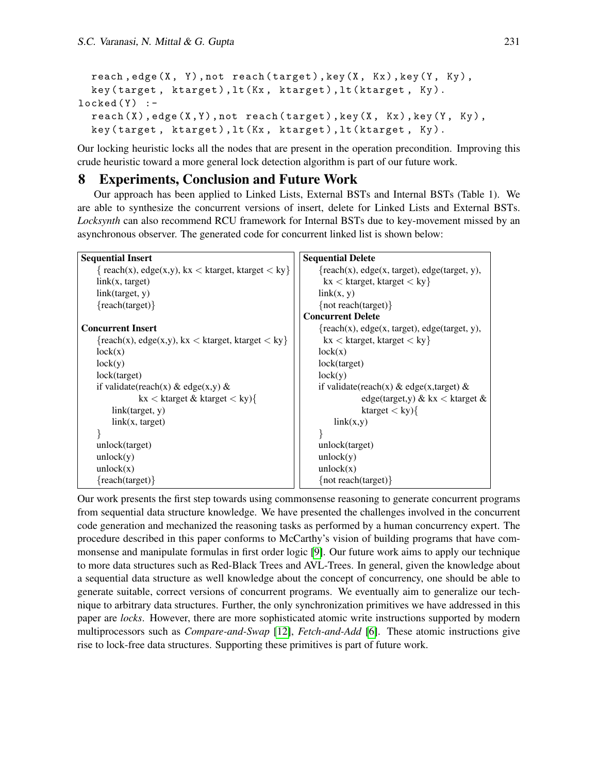```
reach, edge (X, Y), not reach (t \text{target}), key (X, Kx), key (Y, Ky),
  key ( target , ktarget ) , lt ( Kx , ktarget ) , lt ( ktarget , Ky ).
locked(Y) :-
  reach(X), edge(X, Y), not reach(target), key(X, Kx), key(Y, Ky),
  key (target, ktarget), lt (Kx, ktarget), lt (ktarget, Ky).
```
Our locking heuristic locks all the nodes that are present in the operation precondition. Improving this crude heuristic toward a more general lock detection algorithm is part of our future work.

# 8 Experiments, Conclusion and Future Work

Our approach has been applied to Linked Lists, External BSTs and Internal BSTs (Table 1). We are able to synthesize the concurrent versions of insert, delete for Linked Lists and External BSTs. *Locksynth* can also recommend RCU framework for Internal BSTs due to key-movement missed by an asynchronous observer. The generated code for concurrent linked list is shown below:

| <b>Sequential Delete</b><br><b>Sequential Insert</b>   |                                                   |  |  |
|--------------------------------------------------------|---------------------------------------------------|--|--|
| $\{ reach(x), edge(x,y), kx < ktarget, ktarget < ky\}$ | $\{reach(x), edge(x, target), edge(target, y),\}$ |  |  |
| link(x, target)                                        | $kx < k$ target, ktarget $\langle ky \rangle$     |  |  |
| link(target, y)                                        | link(x, y)                                        |  |  |
| $\{ reach(target)\}$                                   | { $not reach(target)$ }                           |  |  |
|                                                        | <b>Concurrent Delete</b>                          |  |  |
| <b>Concurrent Insert</b>                               | $\{reach(x), edge(x, target), edge(target, y),\}$ |  |  |
| $\{reach(x), edge(x,y), kx < ktarget, ktarget < ky\}$  | $kx < k$ target, ktarget $\langle ky \rangle$     |  |  |
| lock(x)                                                | lock(x)                                           |  |  |
| lock(y)                                                | lock(target)                                      |  |  |
| lock(target)                                           | lock(y)                                           |  |  |
| if validate(reach(x) & edge(x,y) &                     | if validate(reach(x) & edge(x,target) &           |  |  |
| kx < ktarget & ktarget < ky                            | edge(target,y) $\&$ kx $\&$ ktarget $\&$          |  |  |
| link(target, y)                                        | ktarget $\langle$ ky $\rangle$ {                  |  |  |
| link(x, target)                                        | link(x,y)                                         |  |  |
|                                                        |                                                   |  |  |
| unlock(target)                                         | unlock(target)                                    |  |  |
| unlock(y)                                              | unlock(y)                                         |  |  |
| unlock(x)                                              | unlock(x)                                         |  |  |
| $\{reach(target)\}$                                    | { $not reach(target)$ }                           |  |  |

Our work presents the first step towards using commonsense reasoning to generate concurrent programs from sequential data structure knowledge. We have presented the challenges involved in the concurrent code generation and mechanized the reasoning tasks as performed by a human concurrency expert. The procedure described in this paper conforms to McCarthy's vision of building programs that have commonsense and manipulate formulas in first order logic [\[9\]](#page-13-3). Our future work aims to apply our technique to more data structures such as Red-Black Trees and AVL-Trees. In general, given the knowledge about a sequential data structure as well knowledge about the concept of concurrency, one should be able to generate suitable, correct versions of concurrent programs. We eventually aim to generalize our technique to arbitrary data structures. Further, the only synchronization primitives we have addressed in this paper are *locks*. However, there are more sophisticated atomic write instructions supported by modern multiprocessors such as *Compare-and-Swap* [\[12\]](#page-13-12), *Fetch-and-Add* [\[6\]](#page-13-13). These atomic instructions give rise to lock-free data structures. Supporting these primitives is part of future work.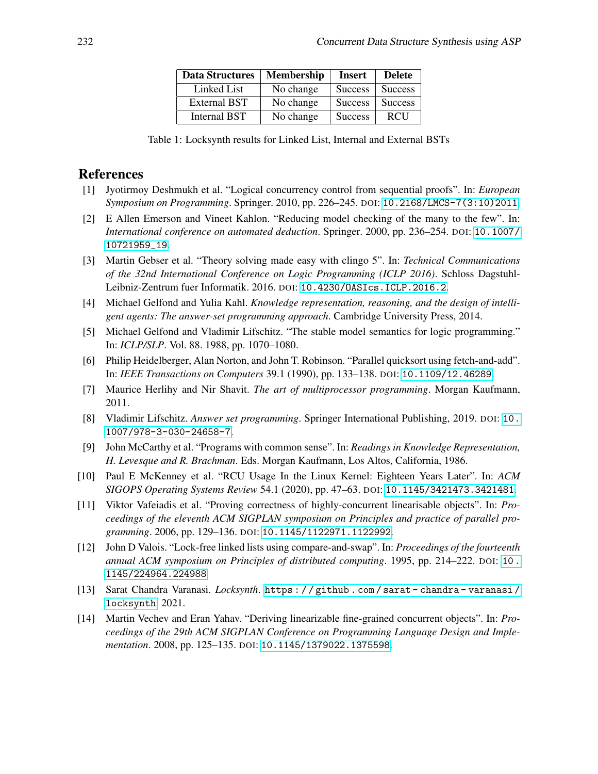| <b>Data Structures</b> | <b>Membership</b> | <b>Insert</b>  | <b>Delete</b>  |
|------------------------|-------------------|----------------|----------------|
| Linked List            | No change         | <b>Success</b> | <b>Success</b> |
| <b>External BST</b>    | No change         | <b>Success</b> | <b>Success</b> |
| Internal BST           | No change         | <b>Success</b> | <b>RCU</b>     |

Table 1: Locksynth results for Linked List, Internal and External BSTs

# References

- <span id="page-13-9"></span>[1] Jyotirmoy Deshmukh et al. "Logical concurrency control from sequential proofs". In: *European Symposium on Programming*. Springer. 2010, pp. 226–245. DOI: [10.2168/LMCS-7\(3:10\)2011](https://doi.org/10.2168/LMCS-7(3:10)2011).
- <span id="page-13-0"></span>[2] E Allen Emerson and Vineet Kahlon. "Reducing model checking of the many to the few". In: *International conference on automated deduction*. Springer. 2000, pp. 236–254. DOI: [10.1007/](https://doi.org/10.1007/10721959_19) [10721959\\_19](https://doi.org/10.1007/10721959_19).
- <span id="page-13-4"></span>[3] Martin Gebser et al. "Theory solving made easy with clingo 5". In: *Technical Communications of the 32nd International Conference on Logic Programming (ICLP 2016)*. Schloss Dagstuhl-Leibniz-Zentrum fuer Informatik. 2016. DOI: [10.4230/OASIcs.ICLP.2016.2](https://doi.org/10.4230/OASIcs.ICLP.2016.2).
- <span id="page-13-6"></span>[4] Michael Gelfond and Yulia Kahl. *Knowledge representation, reasoning, and the design of intelligent agents: The answer-set programming approach*. Cambridge University Press, 2014.
- <span id="page-13-5"></span>[5] Michael Gelfond and Vladimir Lifschitz. "The stable model semantics for logic programming." In: *ICLP/SLP*. Vol. 88. 1988, pp. 1070–1080.
- <span id="page-13-13"></span>[6] Philip Heidelberger, Alan Norton, and John T. Robinson. "Parallel quicksort using fetch-and-add". In: *IEEE Transactions on Computers* 39.1 (1990), pp. 133–138. DOI: [10.1109/12.46289](https://doi.org/10.1109/12.46289).
- <span id="page-13-7"></span>[7] Maurice Herlihy and Nir Shavit. *The art of multiprocessor programming*. Morgan Kaufmann, 2011.
- <span id="page-13-10"></span>[8] Vladimir Lifschitz. *Answer set programming*. Springer International Publishing, 2019. DOI: [10.](https://doi.org/10.1007/978-3-030-24658-7) [1007/978-3-030-24658-7](https://doi.org/10.1007/978-3-030-24658-7).
- <span id="page-13-3"></span>[9] John McCarthy et al. "Programs with common sense". In: *Readings in Knowledge Representation, H. Levesque and R. Brachman*. Eds. Morgan Kaufmann, Los Altos, California, 1986.
- <span id="page-13-8"></span>[10] Paul E McKenney et al. "RCU Usage In the Linux Kernel: Eighteen Years Later". In: *ACM SIGOPS Operating Systems Review* 54.1 (2020), pp. 47–63. DOI: [10.1145/3421473.3421481](https://doi.org/10.1145/3421473.3421481).
- <span id="page-13-2"></span>[11] Viktor Vafeiadis et al. "Proving correctness of highly-concurrent linearisable objects". In: *Proceedings of the eleventh ACM SIGPLAN symposium on Principles and practice of parallel programming*. 2006, pp. 129–136. DOI: [10.1145/1122971.1122992](https://doi.org/10.1145/1122971.1122992).
- <span id="page-13-12"></span>[12] John D Valois. "Lock-free linked lists using compare-and-swap". In: *Proceedings of the fourteenth annual ACM symposium on Principles of distributed computing*. 1995, pp. 214–222. DOI: [10 .](https://doi.org/10.1145/224964.224988) [1145/224964.224988](https://doi.org/10.1145/224964.224988).
- <span id="page-13-11"></span>[13] Sarat Chandra Varanasi. *Locksynth*. [https : / / github . com / sarat - chandra - varanasi /](https://github.com/sarat-chandra-varanasi/locksynth) [locksynth](https://github.com/sarat-chandra-varanasi/locksynth). 2021.
- <span id="page-13-1"></span>[14] Martin Vechev and Eran Yahav. "Deriving linearizable fine-grained concurrent objects". In: *Proceedings of the 29th ACM SIGPLAN Conference on Programming Language Design and Implementation*. 2008, pp. 125–135. DOI: [10.1145/1379022.1375598](https://doi.org/10.1145/1379022.1375598).